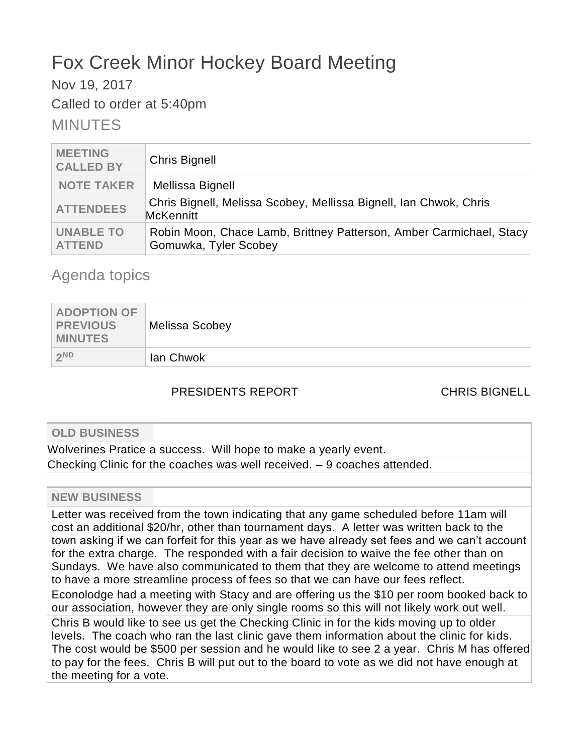# Fox Creek Minor Hockey Board Meeting

Nov 19, 2017

Called to order at 5:40pm

# MINUTES

| <b>MEETING</b><br><b>CALLED BY</b> | <b>Chris Bignell</b>                                                                         |
|------------------------------------|----------------------------------------------------------------------------------------------|
| <b>NOTE TAKER</b>                  | Mellissa Bignell                                                                             |
| <b>ATTENDEES</b>                   | Chris Bignell, Melissa Scobey, Mellissa Bignell, Ian Chwok, Chris<br><b>McKennitt</b>        |
| <b>UNABLE TO</b><br><b>ATTEND</b>  | Robin Moon, Chace Lamb, Brittney Patterson, Amber Carmichael, Stacy<br>Gomuwka, Tyler Scobey |

# Agenda topics

| <b>ADOPTION OF</b><br><b>PREVIOUS</b><br><b>MINUTES</b> | <b>Melissa Scobey</b> |
|---------------------------------------------------------|-----------------------|
| 2ND                                                     | lan Chwok             |

# PRESIDENTS REPORT CHRIS BIGNELL

| <b>OLD BUSINESS</b>     |                                                                                                                                                                                                                                                                                                                                                                                                                                                                                                                                                        |
|-------------------------|--------------------------------------------------------------------------------------------------------------------------------------------------------------------------------------------------------------------------------------------------------------------------------------------------------------------------------------------------------------------------------------------------------------------------------------------------------------------------------------------------------------------------------------------------------|
|                         | Wolverines Pratice a success. Will hope to make a yearly event.                                                                                                                                                                                                                                                                                                                                                                                                                                                                                        |
|                         | Checking Clinic for the coaches was well received. $-9$ coaches attended.                                                                                                                                                                                                                                                                                                                                                                                                                                                                              |
|                         |                                                                                                                                                                                                                                                                                                                                                                                                                                                                                                                                                        |
| <b>NEW BUSINESS</b>     |                                                                                                                                                                                                                                                                                                                                                                                                                                                                                                                                                        |
|                         | Letter was received from the town indicating that any game scheduled before 11am will<br>cost an additional \$20/hr, other than tournament days. A letter was written back to the<br>town asking if we can forfeit for this year as we have already set fees and we can't account<br>for the extra charge. The responded with a fair decision to waive the fee other than on<br>Sundays. We have also communicated to them that they are welcome to attend meetings<br>to have a more streamline process of fees so that we can have our fees reflect. |
|                         | Econolodge had a meeting with Stacy and are offering us the \$10 per room booked back to<br>our association, however they are only single rooms so this will not likely work out well.                                                                                                                                                                                                                                                                                                                                                                 |
| the meeting for a vote. | Chris B would like to see us get the Checking Clinic in for the kids moving up to older<br>levels. The coach who ran the last clinic gave them information about the clinic for kids.<br>The cost would be \$500 per session and he would like to see 2 a year. Chris M has offered<br>to pay for the fees. Chris B will put out to the board to vote as we did not have enough at                                                                                                                                                                     |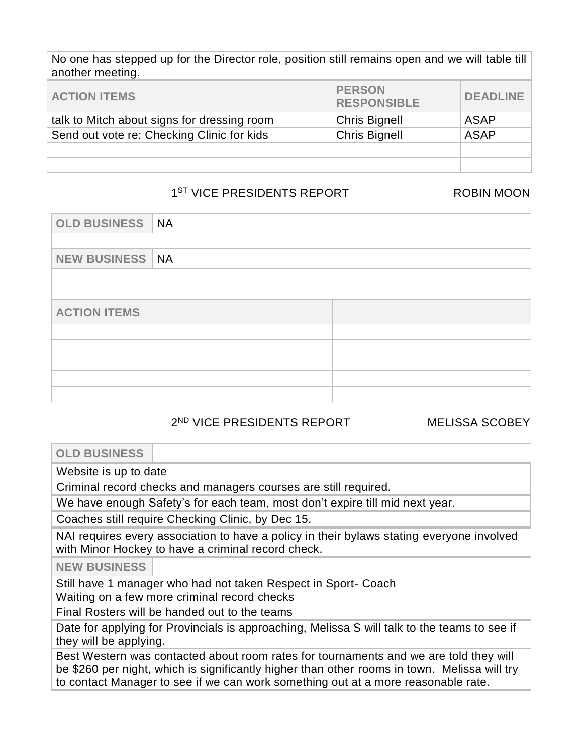No one has stepped up for the Director role, position still remains open and we will table till another meeting.

| <b>ACTION ITEMS</b>                         | <b>PERSON</b><br><b>RESPONSIBLE</b> | <b>DEADLINE</b> |
|---------------------------------------------|-------------------------------------|-----------------|
| talk to Mitch about signs for dressing room | <b>Chris Bignell</b>                | ASAP            |
| Send out vote re: Checking Clinic for kids  | <b>Chris Bignell</b>                | <b>ASAP</b>     |
|                                             |                                     |                 |
|                                             |                                     |                 |

# 1<sup>ST</sup> VICE PRESIDENTS REPORT ROBIN MOON

| OLD BUSINESS NA          |  |  |  |
|--------------------------|--|--|--|
|                          |  |  |  |
| <b>NEW BUSINESS   NA</b> |  |  |  |
|                          |  |  |  |
|                          |  |  |  |
| <b>ACTION ITEMS</b>      |  |  |  |
|                          |  |  |  |
|                          |  |  |  |
|                          |  |  |  |
|                          |  |  |  |
|                          |  |  |  |

# 2 ND VICE PRESIDENTS REPORT MELISSA SCOBEY

**OLD BUSINESS**

Website is up to date

Criminal record checks and managers courses are still required.

We have enough Safety's for each team, most don't expire till mid next year.

Coaches still require Checking Clinic, by Dec 15.

NAI requires every association to have a policy in their bylaws stating everyone involved with Minor Hockey to have a criminal record check.

**NEW BUSINESS**

Still have 1 manager who had not taken Respect in Sport- Coach

Waiting on a few more criminal record checks

Final Rosters will be handed out to the teams

Date for applying for Provincials is approaching, Melissa S will talk to the teams to see if they will be applying.

Best Western was contacted about room rates for tournaments and we are told they will be \$260 per night, which is significantly higher than other rooms in town. Melissa will try to contact Manager to see if we can work something out at a more reasonable rate.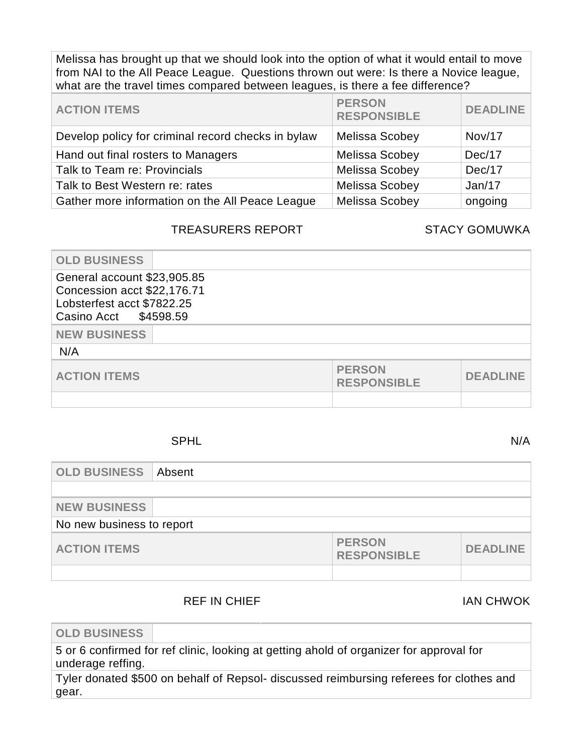Melissa has brought up that we should look into the option of what it would entail to move from NAI to the All Peace League. Questions thrown out were: Is there a Novice league, what are the travel times compared between leagues, is there a fee difference?

| <b>ACTION ITEMS</b>                                | <b>PERSON</b><br><b>RESPONSIBLE</b> | <b>DEADLINE</b> |
|----------------------------------------------------|-------------------------------------|-----------------|
| Develop policy for criminal record checks in bylaw | Melissa Scobey                      | <b>Nov/17</b>   |
| Hand out final rosters to Managers                 | Melissa Scobey                      | Dec/17          |
| Talk to Team re: Provincials                       | Melissa Scobey                      | Dec/17          |
| Talk to Best Western re: rates                     | Melissa Scobey                      | Jan/17          |
| Gather more information on the All Peace League    | Melissa Scobey                      | ongoing         |

## TREASURERS REPORT STACY GOMUWKA

| <b>OLD BUSINESS</b>                                                                                               |  |                                     |                 |
|-------------------------------------------------------------------------------------------------------------------|--|-------------------------------------|-----------------|
| General account \$23,905.85<br>Concession acct \$22,176.71<br>Lobsterfest acct \$7822.25<br>Casino Acct \$4598.59 |  |                                     |                 |
| <b>NEW BUSINESS</b>                                                                                               |  |                                     |                 |
| N/A                                                                                                               |  |                                     |                 |
| <b>ACTION ITEMS</b>                                                                                               |  | <b>PERSON</b><br><b>RESPONSIBLE</b> | <b>DEADLINE</b> |
|                                                                                                                   |  |                                     |                 |

## SPHL N/A

| <b>OLD BUSINESS</b>       | Absent |                                     |                 |
|---------------------------|--------|-------------------------------------|-----------------|
|                           |        |                                     |                 |
| <b>NEW BUSINESS</b>       |        |                                     |                 |
| No new business to report |        |                                     |                 |
| <b>ACTION ITEMS</b>       |        | <b>PERSON</b><br><b>RESPONSIBLE</b> | <b>DEADLINE</b> |
|                           |        |                                     |                 |

# REF IN CHIEF IN CHIEF IN CHIEF IN CHIEF

**OLD BUSINESS**

5 or 6 confirmed for ref clinic, looking at getting ahold of organizer for approval for underage reffing.

Tyler donated \$500 on behalf of Repsol- discussed reimbursing referees for clothes and gear.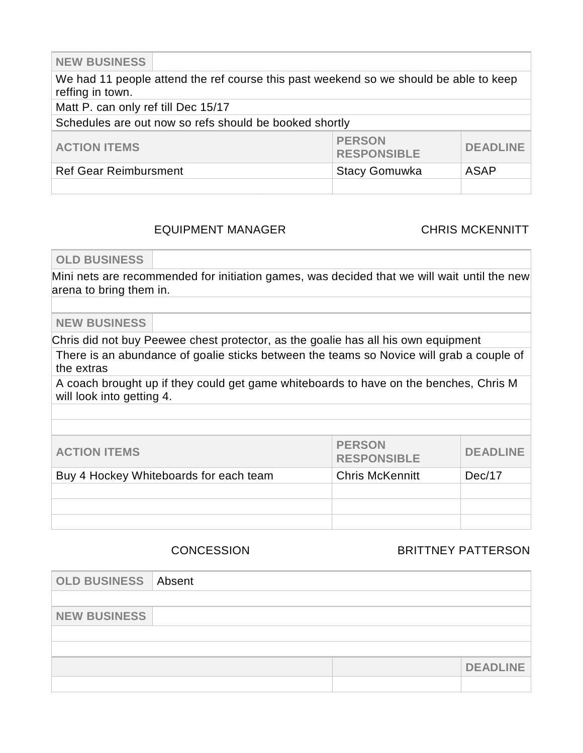**NEW BUSINESS**

We had 11 people attend the ref course this past weekend so we should be able to keep reffing in town. Matt P. can only ref till Dec 15/17 Schedules are out now so refs should be booked shortly **ACTION ITEMS PERSON RESPONSIBLE DEADLINE** Ref Gear Reimbursment New York Stacy Gomuwka ASAP

# EQUIPMENT MANAGER CHRIS MCKENNITT

**OLD BUSINESS**

Mini nets are recommended for initiation games, was decided that we will wait until the new arena to bring them in.

**NEW BUSINESS**

Chris did not buy Peewee chest protector, as the goalie has all his own equipment

There is an abundance of goalie sticks between the teams so Novice will grab a couple of the extras

A coach brought up if they could get game whiteboards to have on the benches, Chris M will look into getting 4.

| <b>ACTION ITEMS</b>                    | <b>PERSON</b><br><b>RESPONSIBLE</b> | <b>DEADLINE</b> |
|----------------------------------------|-------------------------------------|-----------------|
| Buy 4 Hockey Whiteboards for each team | <b>Chris McKennitt</b>              | Dec/17          |
|                                        |                                     |                 |
|                                        |                                     |                 |
|                                        |                                     |                 |

CONCESSION BRITTNEY PATTERSON

| <b>OLD BUSINESS Absent</b> |  |                 |
|----------------------------|--|-----------------|
|                            |  |                 |
| <b>NEW BUSINESS</b>        |  |                 |
|                            |  |                 |
|                            |  |                 |
|                            |  | <b>DEADLINE</b> |
|                            |  |                 |